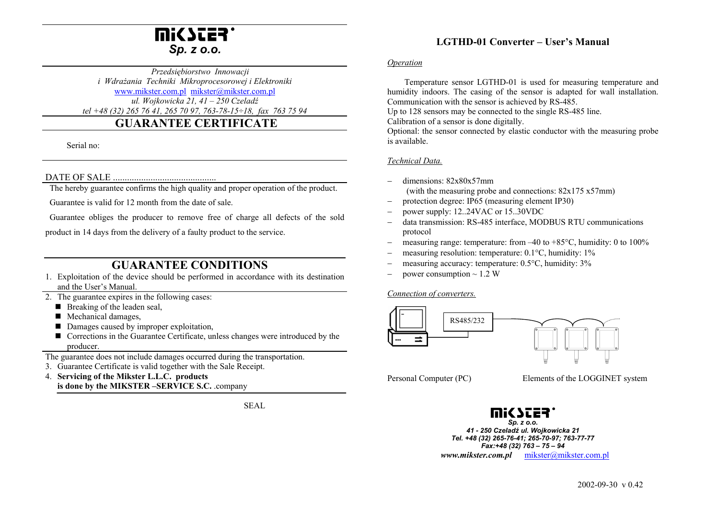

 *Przedsiębiorstwo Innowacji i Wdrażania Techniki Mikroprocesorowej i Elektroniki*  www.mikster.com.pl mikster@mikster.com.pl *ul. Wojkowicka 21, 41 – 250 Czeladź tel +48 (32) 265 76 41, 265 70 97, 763-78-15÷18, fax 763 75 94*

# **GUARANTEE CERTIFICATE**

Serial no:

### DATE OF SALE ............................................

The hereby guarantee confirms the high quality and proper operation of the product.

Guarantee is valid for 12 month from the date of sale.

Guarantee obliges the producer to remove free of charge all defects of the sold

product in 14 days from the delivery of a faulty product to the service.

# **GUARANTEE CONDITIONS**

- 1. Exploitation of the device should be performed in accordance with its destination and the User's Manual.
- 2. The guarantee expires in the following cases:
	- $\blacksquare$  Breaking of the leaden seal,
	- Mechanical damages,
	- Damages caused by improper exploitation,
	- Corrections in the Guarantee Certificate, unless changes were introduced by the producer.

The guarantee does not include damages occurred during the transportation.

- 3. Guarantee Certificate is valid together with the Sale Receipt.
- 4. **Servicing of the Mikster L.L.C. products is done by the MIKSTER –SERVICE S.C.** .company

SEAL

## **LGTHD-01 Converter – User's Manual**

#### *Operation*

 Temperature sensor LGTHD-01 is used for measuring temperature and humidity indoors. The casing of the sensor is adapted for wall installation. Communication with the sensor is achieved by RS-485.

Up to 128 sensors may be connected to the single RS-485 line.

Calibration of a sensor is done digitally.

Optional: the sensor connected by elastic conductor with the measuring probe is available.

### *Technical Data.*

- dimensions: 82x80x57mm (with the measuring probe and connections: 82x175 x57mm)
- protection degree: IP65 (measuring element IP30)
- power supply: 12..24VAC or 15..30VDC
- data transmission: RS-485 interface, MODBUS RTU communications protocol
- measuring range: temperature: from  $-40$  to  $+85^{\circ}$ C, humidity: 0 to 100%
- measuring resolution: temperature: 0.1°C, humidity: 1%
- measuring accuracy: temperature: 0.5°C, humidity: 3%
- power consumption  $\sim$  1.2 W

*Connection of converters.*



Personal Computer (PC) Elements of the LOGGINET system



*Sp. z o.o. 41 - 250 Czeladź ul. Wojkowicka 21 Tel. +48 (32) 265-76-41; 265-70-97; 763-77-77 Fax:+48 (32) 763 – 75 – 94 www.mikster.com.pl* mikster@mikster.com.pl